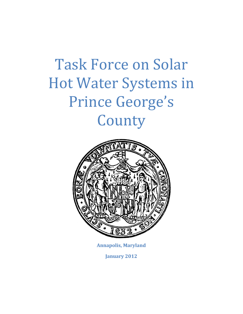

**Annapolis, Maryland**

**January 2012**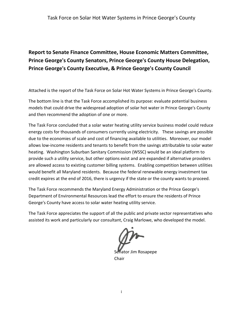# **Report to Senate Finance Committee, House Economic Matters Committee, Prince George's County Senators, Prince George's County House Delegation, Prince George's County Executive, & Prince George's County Council**

Attached is the report of the Task Force on Solar Hot Water Systems in Prince George's County.

The bottom line is that the Task Force accomplished its purpose: evaluate potential business models that could drive the widespread adoption of solar hot water in Prince George's County and then recommend the adoption of one or more.

The Task Force concluded that a solar water heating utility service business model could reduce energy costs for thousands of consumers currently using electricity. These savings are possible due to the economies of scale and cost of financing available to utilities. Moreover, our model allows low-income residents and tenants to benefit from the savings attributable to solar water heating. Washington Suburban Sanitary Commission (WSSC) would be an ideal platform to provide such a utility service, but other options exist and are expanded if alternative providers are allowed access to existing customer billing systems. Enabling competition between utilities would benefit all Maryland residents. Because the federal renewable energy investment tax credit expires at the end of 2016, there is urgency if the state or the county wants to proceed.

The Task Force recommends the Maryland Energy Administration or the Prince George's Department of Environmental Resources lead the effort to ensure the residents of Prince George's County have access to solar water heating utility service.

The Task Force appreciates the support of all the public and private sector representatives who assisted its work and particularly our consultant, Craig Marlowe, who developed the model.

Senator Jim Rosapepe Chair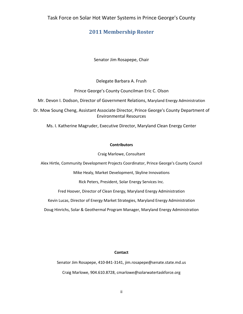#### **2011 Membership Roster**

Senator Jim Rosapepe, Chair

Delegate Barbara A. Frush

Prince George's County Councilman Eric C. Olson

Mr. Devon I. Dodson, Director of Government Relations, Maryland Energy Administration

Dr. Mow Soung Cheng, Assistant Associate Director, Prince George's County Department of Environmental Resources

Ms. I. Katherine Magruder, Executive Director, Maryland Clean Energy Center

#### **Contributors**

Craig Marlowe, Consultant

Alex Hirtle, Community Development Projects Coordinator, Prince George's County Council

Mike Healy, Market Development, Skyline Innovations

Rick Peters, President, Solar Energy Services Inc.

Fred Hoover, Director of Clean Energy, Maryland Energy Administration

Kevin Lucas, Director of Energy Market Strategies, Maryland Energy Administration

Doug Hinrichs, Solar & Geothermal Program Manager, Maryland Energy Administration

#### **Contact**

Senator Jim Rosapepe, 410-841-3141, jim.rosapepe@senate.state.md.us Craig Marlowe, 904.610.8728, cmarlowe@solarwatertaskforce.org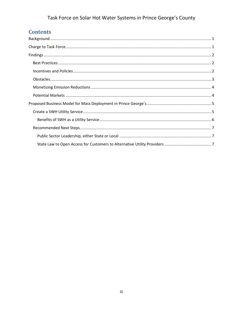# **Contents**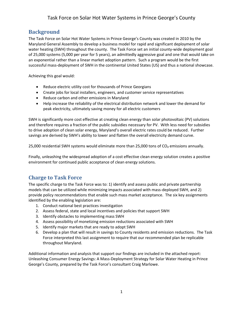# **Background**

The Task Force on Solar Hot Water Systems in Prince George's County was created in 2010 by the Maryland General Assembly to develop a business model for rapid and significant deployment of solar water heating (SWH) throughout the county. The Task Force set an initial county-wide deployment goal of 25,000 systems (5,000 per year for 5 years), an admittedly aggressive goal and one that would take on an exponential rather than a linear market adoption pattern. Such a program would be the first successful mass-deployment of SWH in the continental United States (US) and thus a national showcase.

Achieving this goal would:

- Reduce electric utility cost for thousands of Prince Georgians
- Create jobs for local installers, engineers, and customer service representatives
- Reduce carbon and other emissions in Maryland
- Help increase the reliability of the electrical distribution network and lower the demand for peak electricity, ultimately saving money for all electric customers

SWH is significantly more cost effective at creating clean energy than solar photovoltaic (PV) solutions and therefore requires a fraction of the public subsidies necessary for PV. With less need for subsidies to drive adoption of clean solar energy, Maryland's overall electric rates could be reduced. Further savings are derived by SWH's ability to lower and flatten the overall electricity demand curve.

25,000 residential SWH systems would eliminate more than 25,000 tons of CO<sub>2</sub> emissions annually.

Finally, unleashing the widespread adoption of a cost effective clean energy solution creates a positive environment for continued public acceptance of clean energy solutions.

## <span id="page-4-0"></span>**Charge to Task Force**

The specific charge to the Task Force was to: 1) identify and assess public and private partnership models that can be utilized while minimizing impacts associated with mass-deployed SWH, and 2) provide policy recommendations that enable such mass market acceptance. The six key assignments identified by the enabling legislation are:

- 1. Conduct national best practices investigation
- 2. Assess federal, state and local incentives and policies that support SWH
- 3. Identify obstacles to implementing mass SWH
- 4. Assess possibility of monetizing emission reductions associated with SWH
- 5. Identify major markets that are ready to adopt SWH
- 6. Develop a plan that will result in savings to County residents and emission reductions. The Task Force interpreted this last assignment to require that our recommended plan be replicable throughout Maryland.

Additional information and analysis that support our findings are included in the attached report: Unleashing Consumer Energy Savings: A Mass-Deployment Strategy for Solar Water Heating in Prince George's County, prepared by the Task Force's consultant Craig Marlowe.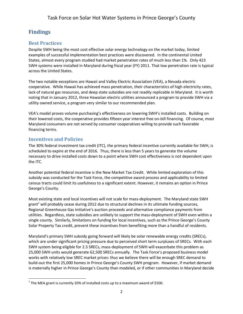# <span id="page-5-0"></span>**Findings**

# <span id="page-5-1"></span>**Best Practices**

Despite SWH being the most cost effective solar energy technology on the market today, limited examples of successful implementation best practices were discovered. In the continental United States, almost every program studied had market penetration rates of much less than 1%. Only 423 SWH systems were installed in Maryland during fiscal year (FY) 2011. That low penetration rate is typical across the United States.

The two notable exceptions are Hawaii and Valley Electric Association (VEA), a Nevada electric cooperative. While Hawaii has achieved mass penetration, their characteristics of high electricity rates, lack of natural gas resources, and deep state subsidies are not readily replicable in Maryland. It is worth noting that in January 2012, three Hawaiian electric utilities announced a program to provide SWH via a utility owned service, a program very similar to our recommended plan.

VEA's model proves volume purchasing's effectiveness on lowering SWH's installed costs. Building on their lowered costs, the cooperative provides fifteen year interest free on-bill financing. Of course, most Maryland consumers are not served by consumer cooperatives willing to provide such favorable financing terms.

## <span id="page-5-2"></span>**Incentives and Policies**

The 30% federal investment tax credit (ITC), the primary federal incentive currently available for SWH, is scheduled to expire at the end of 2016. Thus, there is less than 5 years to generate the volume necessary to drive installed costs down to a point where SWH cost effectiveness is not dependent upon the ITC.

Another potential federal incentive is the New Market Tax Credit. While limited exploration of this subsidy was conducted for the Task Force, the competitive award process and applicability to limited census tracts could limit its usefulness to a significant extent. However, it remains an option in Prince George's County.

Most existing state and local incentives will not scale for mass-deployment. The Maryland state SWH grant<sup>1</sup> will probably cease during 2012 due to structural declines in its ultimate funding sources, Regional Greenhouse Gas Initiative's auction proceeds and alternative compliance payments from utilities. Regardless, state subsidies are unlikely to support the mass-deployment of SWH even within a single county. Similarly, limitations on funding for local incentives, such as the Prince George's County Solar Property Tax credit, prevent these incentives from benefiting more than a handful of residents.

Maryland's primary SWH subsidy going forward will likely be solar renewable energy credits (SRECs), which are under significant pricing pressure due to perceived short term surpluses of SRECs. With each SWH system being eligible for 2.5 SRECs, mass-deployment of SWH will exacerbate this problem as 25,000 SWH units would generate 62,500 SRECs annually. The Task Force's proposed business model works with relatively low SREC market prices: thus we believe there will be enough SREC demand to build-out the first 25,000 homes in Prince George's County SWH program. However, if market demand is materially higher in Prince George's County than modeled, or if other communities in Maryland decide

 $\overline{\phantom{a}}$  $^1$  The MEA grant is currently 20% of installed costs up to a maximum award of \$500.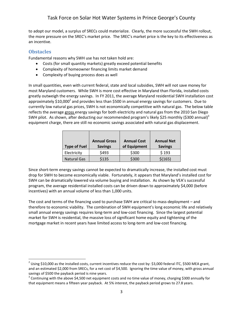to adopt our model, a surplus of SRECs could materialize. Clearly, the more successful the SWH rollout, the more pressure on the SREC's market price. The SREC's market price is the key to its effectiveness as an incentive.

#### <span id="page-6-0"></span>**Obstacles**

l

Fundamental reasons why SWH use has not taken hold are:

- Costs (for small quantity markets) greatly exceed potential benefits
- Complexity of homeowner financing limits market demand
- Complexity of buying process does as well

In small quantities, even with current federal, state and local subsidies, SWH will not save money for most Maryland customers. While SWH is more cost effective in Maryland than Florida, installed costs greatly outweigh the energy savings. In FY 2011, the average Maryland residential SWH installation cost approximately \$10,000<sup>2</sup> and provides less than \$500 in annual energy savings for customers. Due to currently low natural gas prices, SWH is not economically competitive with natural gas. The below table reflects the average gross energy savings for both electricity and natural gas from the 2010 San Diego SWH pilot. As shown, after deducting our recommended program's likely \$25 monthly (\$300 annual)<sup>3</sup> equipment charge, there are still no economic savings associated with natural gas displacement.

| <b>Type of Fuel</b> | <b>Annual Gross</b><br><b>Savings</b> | <b>Annual Cost</b><br>of Equipment | <b>Annual Net</b><br><b>Savings</b> |
|---------------------|---------------------------------------|------------------------------------|-------------------------------------|
| Electricity         | \$493                                 | \$300                              | \$193                               |
| <b>Natural Gas</b>  | \$135                                 | \$300                              | \$(165)                             |

Since short-term energy savings cannot be expected to dramatically increase, the installed cost must drop for SWH to become economically viable. Fortunately, it appears that Maryland's installed cost for SWH can be dramatically lowered via volume buying and installation. As shown by VEA's successful program, the average residential installed costs can be driven down to approximately \$4,000 (before incentives) with an annual volume of less than 1,000 units.

The cost and terms of the financing used to purchase SWH are critical to mass-deployment – and therefore to economic viability. The combination of SWH equipment's long economic life and relatively small annual energy savings requires long-term and low-cost financing. Since the largest potential market for SWH is residential, the massive loss of significant home equity and tightening of the mortgage market in recent years have limited access to long-term and low-cost financing.

<sup>&</sup>lt;sup>2</sup> Using \$10,000 as the installed costs, current incentives reduce the cost by: \$3,000 federal ITC, \$500 MEA grant, and an estimated \$2,000 from SRECs, for a net cost of \$4,500. Ignoring the time value of money, with gross annual savings of \$500 the payback period is nine years.

 $^3$  Continuing with the above \$4,500 net equipment costs and no time value of money, charging \$300 annually for that equipment means a fifteen year payback. At 5% interest, the payback period grows to 27.8 years.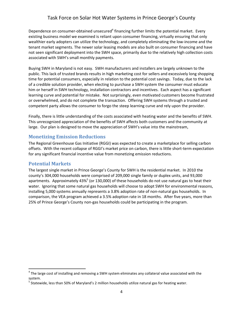Dependence on consumer-obtained unsecured<sup>4</sup> financing further limits the potential market. Every existing business model we examined is reliant upon consumer financing, virtually ensuring that only wealthier early adopters can utilize the technology, and completely eliminating the low-income and the tenant market segments. The newer solar leasing models are also built on consumer financing and have not seen significant deployment into the SWH space, primarily due to the relatively high collection costs associated with SWH's small monthly payments.

Buying SWH in Maryland is not easy. SWH manufacturers and installers are largely unknown to the public. This lack of trusted brands results in high marketing cost for sellers and excessively long shopping time for potential consumers, especially in relation to the potential cost savings. Today, due to the lack of a credible solution provider, when electing to purchase a SWH system the consumer must educate him or herself in SWH technology, installation contractors and incentives. Each aspect has a significant learning curve and potential for mistake. Not surprisingly, even motivated customers become frustrated or overwhelmed, and do not complete the transaction. Offering SWH systems through a trusted and competent party allows the consumer to forgo the steep learning curve and rely upon the provider.

Finally, there is little understanding of the costs associated with heating water and the benefits of SWH. This unrecognized appreciation of the benefits of SWH affects both customers and the community at large. Our plan is designed to move the appreciation of SWH's value into the mainstream,

#### <span id="page-7-0"></span>**Monetizing Emission Reductions**

The Regional Greenhouse Gas Initiative (RGGI) was expected to create a marketplace for selling carbon offsets. With the recent collapse of RGGI's market price on carbon, there is little short-term expectation for any significant financial incentive value from monetizing emission reductions.

#### <span id="page-7-1"></span>**Potential Markets**

 $\overline{\phantom{a}}$ 

The largest single market in Prince George's County for SWH is the residential market. In 2010 the county's 304,000 households were comprised of 209,000 single family or duplex units, and 93,000 apartments. Approximately 43%<sup>5</sup> (or 130,000) of these households do not use natural gas to heat their water. Ignoring that some natural gas households will choose to adopt SWH for environmental reasons, installing 5,000 systems annually represents a 3.8% adoption rate of non-natural gas households. In comparison, the VEA program achieved a 3.5% adoption rate in 18 months. After five years, more than 25% of Prince George's County non-gas households could be participating in the program.

 $^4$  The large cost of installing and removing a SWH system eliminates any collateral value associated with the system.

<sup>&</sup>lt;sup>5</sup> Statewide, less than 50% of Maryland's 2 million households utilize natural gas for heating water.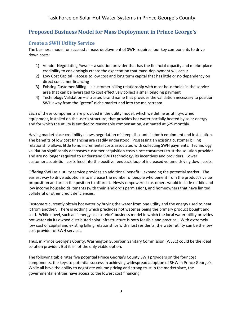# <span id="page-8-0"></span>**Proposed Business Model for Mass Deployment in Prince George's**

# <span id="page-8-1"></span>**Create a SWH Utility Service**

The business model for successful mass-deployment of SWH requires four key components to drive down costs:

- 1) Vendor Negotiating Power a solution provider that has the financial capacity and marketplace credibility to convincingly create the expectation that mass-deployment will occur
- 2) Low Cost Capital access to low cost and long term capital that has little or no dependency on direct consumer financing
- 3) Existing Customer Billing a customer billing relationship with most households in the service area that can be leveraged to cost effectively collect a small ongoing payment
- 4) Technology Validation a trusted brand name that provides the validation necessary to position SWH away from the "green" niche market and into the mainstream.

Each of these components are provided in the utility model, which we define as utility-owned equipment, installed on the user's structure, that provides hot water partially heated by solar energy and for which the utility is entitled to reasonable compensation, estimated at \$25 monthly.

Having marketplace credibility allows negotiation of steep discounts in both equipment and installation. The benefits of low cost financing are readily understood. Possessing an existing customer billing relationship allows little to no incremental costs associated with collecting SWH payments. Technology validation significantly decreases customer acquisition costs since consumers trust the solution provider and are no longer required to understand SWH technology, its incentives and providers. Lower customer acquisition costs feed into the positive feedback loop of increased volume driving down costs.

Offering SWH as a utility service provides an additional benefit – expanding the potential market. The easiest way to drive adoption is to increase the number of people who benefit from the product's value proposition and are in the position to afford it. Newly empowered customers would include middle and low income households, tenants (with their landlord's permission), and homeowners that have limited collateral or other credit deficiencies.

Customers currently obtain hot water by buying the water from one utility and the energy used to heat it from another. There is nothing which precludes hot water as being the primary product bought and sold. While novel, such an "energy as a service" business model in which the local water utility provides hot water via its owned distributed solar infrastructure is both feasible and practical. With extremely low cost of capital and existing billing relationships with most residents, the water utility can be the low cost provider of SWH services.

Thus, in Prince George's County, Washington Suburban Sanitary Commission (WSSC) could be the ideal solution provider. But it is not the only viable option.

The following table rates five potential Prince George's County SWH providers on the four cost components, the keys to potential success in achieving widespread adoption of SHW in Prince George's. While all have the ability to negotiate volume pricing and strong trust in the marketplace, the governmental entities have access to the lowest cost financing.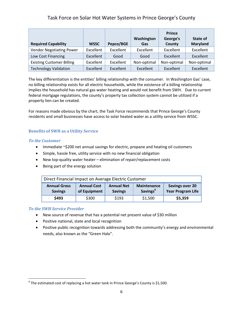| <b>Required Capability</b>       | <b>WSSC</b> | Pepco/BGE | Washington<br>Gas | <b>Prince</b><br>George's<br>County | State of<br><b>Maryland</b> |
|----------------------------------|-------------|-----------|-------------------|-------------------------------------|-----------------------------|
| <b>Vendor Negotiating Power</b>  | Excellent   | Excellent | Excellent         | Excellent                           | Excellent                   |
| Low Cost Financing               | Excellent   | Good      | Good              | Excellent                           | Excellent                   |
| <b>Existing Customer Billing</b> | Excellent   | Excellent | Non-optimal       | Non-optimal                         | Non-optimal                 |
| <b>Technology Validation</b>     | Excellent   | Excellent | Excellent         | Excellent                           | Excellent                   |

The key differentiation is the entities' billing relationship with the consumer. In Washington Gas' case, no billing relationship exists for all electric households, while the existence of a billing relationship implies the household has natural gas water heating and would not benefit from SWH. Due to current federal mortgage regulations, the county's property tax collection system cannot be utilized if a property lien can be created.

For reasons made obvious by the chart, the Task Force recommends that Prince George's County residents and small businesses have access to solar heated water as a utility service from WSSC.

#### <span id="page-9-0"></span>**Benefits of SWH as a Utility Service**

#### *To the Customer*

- Immediate ~\$200 net annual savings for electric, propane and heating oil customers
- Simple, hassle free, utility service with no new financial obligation
- New top-quality water heater elimination of repair/replacement costs
- Being part of the energy solution

| Direct Financial Impact on Average Electric Customer |                                                                           |       |                                            |                                                    |  |  |
|------------------------------------------------------|---------------------------------------------------------------------------|-------|--------------------------------------------|----------------------------------------------------|--|--|
| <b>Annual Gross</b><br><b>Savings</b>                | <b>Annual Net</b><br><b>Annual Cost</b><br>of Equipment<br><b>Savings</b> |       | <b>Maintenance</b><br>Savings <sup>6</sup> | <b>Savings over 20</b><br><b>Year Program Life</b> |  |  |
| \$493                                                | \$300                                                                     | \$193 | \$1,500                                    | \$5,359                                            |  |  |

#### *To the SWH Service Provider*

 $\overline{\phantom{a}}$ 

- New source of revenue that has a potential net present value of \$30 million
- Positive national, state and local recognition
- Positive public recognition towards addressing both the community's energy and environmental needs, also known as the "Green Halo".

 $^6$  The estimated cost of replacing a hot water tank in Prince George's County is \$1,500.